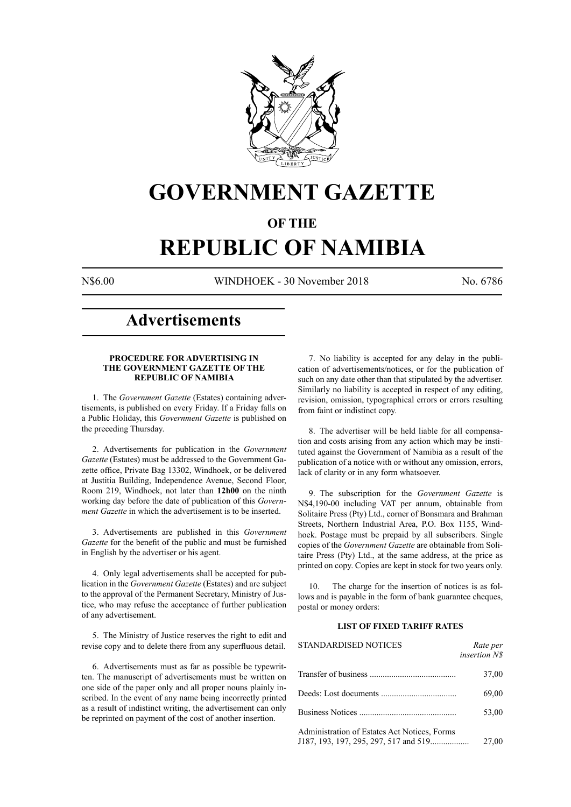

## **GOVERNMENT GAZETTE**

#### **OF THE**

## **REPUBLIC OF NAMIBIA**

N\$6.00 WINDHOEK - 30 November 2018 No. 6786

### **Advertisements**

#### **PROCEDURE FOR ADVERTISING IN THE GOVERNMENT GAZETTE OF THE REPUBLIC OF NAMIBIA**

1. The *Government Gazette* (Estates) containing advertisements, is published on every Friday. If a Friday falls on a Public Holiday, this *Government Gazette* is published on the preceding Thursday.

2. Advertisements for publication in the *Government Gazette* (Estates) must be addressed to the Government Gazette office, Private Bag 13302, Windhoek, or be delivered at Justitia Building, Independence Avenue, Second Floor, Room 219, Windhoek, not later than **12h00** on the ninth working day before the date of publication of this *Government Gazette* in which the advertisement is to be inserted.

3. Advertisements are published in this *Government Gazette* for the benefit of the public and must be furnished in English by the advertiser or his agent.

4. Only legal advertisements shall be accepted for publication in the *Government Gazette* (Estates) and are subject to the approval of the Permanent Secretary, Ministry of Justice, who may refuse the acceptance of further publication of any advertisement.

5. The Ministry of Justice reserves the right to edit and revise copy and to delete there from any superfluous detail.

6. Advertisements must as far as possible be typewritten. The manuscript of advertisements must be written on one side of the paper only and all proper nouns plainly inscribed. In the event of any name being incorrectly printed as a result of indistinct writing, the advertisement can only be reprinted on payment of the cost of another insertion.

7. No liability is accepted for any delay in the publication of advertisements/notices, or for the publication of such on any date other than that stipulated by the advertiser. Similarly no liability is accepted in respect of any editing, revision, omission, typographical errors or errors resulting from faint or indistinct copy.

8. The advertiser will be held liable for all compensation and costs arising from any action which may be instituted against the Government of Namibia as a result of the publication of a notice with or without any omission, errors, lack of clarity or in any form whatsoever.

9. The subscription for the *Government Gazette* is N\$4,190-00 including VAT per annum, obtainable from Solitaire Press (Pty) Ltd., corner of Bonsmara and Brahman Streets, Northern Industrial Area, P.O. Box 1155, Windhoek. Postage must be prepaid by all subscribers. Single copies of the *Government Gazette* are obtainable from Solitaire Press (Pty) Ltd., at the same address, at the price as printed on copy. Copies are kept in stock for two years only.

10. The charge for the insertion of notices is as follows and is payable in the form of bank guarantee cheques, postal or money orders:

#### **LIST OF FIXED TARIFF RATES**

| <b>STANDARDISED NOTICES</b>                                                           | Rate per<br><i>insertion NS</i> |
|---------------------------------------------------------------------------------------|---------------------------------|
|                                                                                       | 37,00                           |
|                                                                                       | 69,00                           |
|                                                                                       | 53,00                           |
| Administration of Estates Act Notices, Forms<br>J187, 193, 197, 295, 297, 517 and 519 | 27,00                           |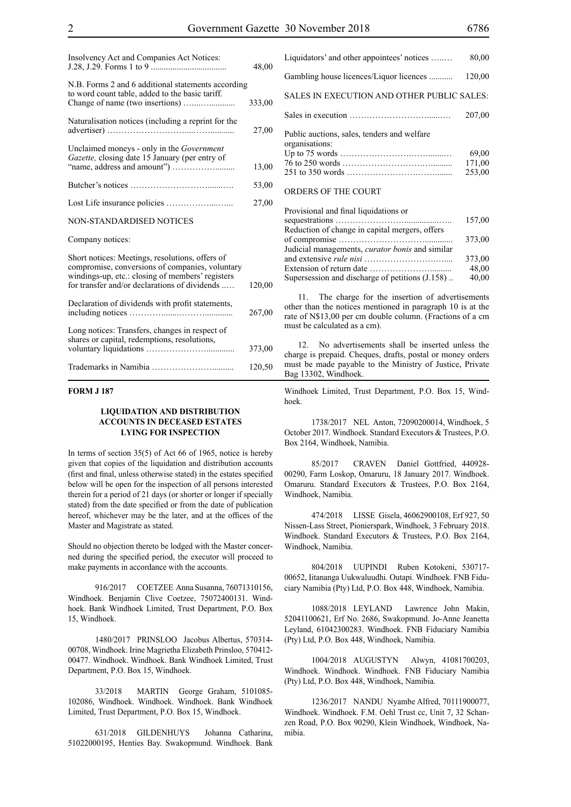| Insolvency Act and Companies Act Notices:                                                                                                                                                               | 48,00  |
|---------------------------------------------------------------------------------------------------------------------------------------------------------------------------------------------------------|--------|
| N.B. Forms 2 and 6 additional statements according<br>to word count table, added to the basic tariff.                                                                                                   | 333,00 |
| Naturalisation notices (including a reprint for the                                                                                                                                                     | 27,00  |
| Unclaimed moneys - only in the <i>Government</i><br>Gazette, closing date 15 January (per entry of                                                                                                      | 13,00  |
|                                                                                                                                                                                                         | 53,00  |
|                                                                                                                                                                                                         | 27,00  |
| <b>NON-STANDARDISED NOTICES</b>                                                                                                                                                                         |        |
| Company notices:                                                                                                                                                                                        |        |
| Short notices: Meetings, resolutions, offers of<br>compromise, conversions of companies, voluntary<br>windings-up, etc.: closing of members' registers<br>for transfer and/or declarations of dividends | 120,00 |
| Declaration of dividends with profit statements,                                                                                                                                                        | 267,00 |
| Long notices: Transfers, changes in respect of<br>shares or capital, redemptions, resolutions,                                                                                                          | 373,00 |
|                                                                                                                                                                                                         | 120,50 |

#### **FORM J 187**

#### **LIQUIDATION AND DISTRIBUTION ACCOUNTS IN DECEASED ESTATES LYING FOR INSPECTION**

In terms of section 35(5) of Act 66 of 1965, notice is hereby given that copies of the liquidation and distribution accounts (first and final, unless otherwise stated) in the estates specified below will be open for the inspection of all persons interested therein for a period of 21 days (or shorter or longer if specially stated) from the date specified or from the date of publication hereof, whichever may be the later, and at the offices of the Master and Magistrate as stated.

Should no objection thereto be lodged with the Master concerned during the specified period, the executor will proceed to make payments in accordance with the accounts.

916/2017 COETZEE Anna Susanna, 76071310156, Windhoek. Benjamin Clive Coetzee, 75072400131. Windhoek. Bank Windhoek Limited, Trust Department, P.O. Box 15, Windhoek.

1480/2017 PRINSLOO Jacobus Albertus, 570314- 00708, Windhoek. Irine Magrietha Elizabeth Prinsloo, 570412- 00477. Windhoek. Windhoek. Bank Windhoek Limited, Trust Department, P.O. Box 15, Windhoek.

33/2018 MARTIN George Graham, 5101085- 102086, Windhoek. Windhoek. Windhoek. Bank Windhoek Limited, Trust Department, P.O. Box 15, Windhoek.

631/2018 GILDENHUYS Johanna Catharina, 51022000195, Henties Bay. Swakopmund. Windhoek. Bank

| Liquidators' and other appointees' notices                    | 80,00                     |
|---------------------------------------------------------------|---------------------------|
| Gambling house licences/Liquor licences                       | 120,00                    |
| SALES IN EXECUTION AND OTHER PUBLIC SALES:                    |                           |
|                                                               | 207.00                    |
| Public auctions, sales, tenders and welfare<br>organisations: | 69,00<br>171,00<br>253,00 |
| ORDERS OF THE COURT                                           |                           |

| Provisional and final liquidations or                  |        |
|--------------------------------------------------------|--------|
|                                                        | 157,00 |
| Reduction of change in capital mergers, offers         |        |
|                                                        | 373,00 |
| Judicial managements, <i>curator bonis</i> and similar |        |
|                                                        | 373,00 |
|                                                        | 48,00  |
| Supersession and discharge of petitions (J.158)        | 40,00  |
|                                                        |        |

11. The charge for the insertion of advertisements other than the notices mentioned in paragraph 10 is at the rate of N\$13,00 per cm double column. (Fractions of a cm must be calculated as a cm).

12. No advertisements shall be inserted unless the charge is prepaid. Cheques, drafts, postal or money orders must be made payable to the Ministry of Justice, Private Bag 13302, Windhoek.

Windhoek Limited, Trust Department, P.O. Box 15, Windhoek.

1738/2017 NEL Anton, 72090200014, Windhoek, 5 October 2017. Windhoek. Standard Executors & Trustees, P.O. Box 2164, Windhoek, Namibia.

85/2017 CRAVEN Daniel Gottfried, 440928- 00290, Farm Loskop, Omaruru, 18 January 2017. Windhoek. Omaruru. Standard Executors & Trustees, P.O. Box 2164, Windhoek, Namibia.

474/2018 LISSE Gisela, 46062900108, Erf 927, 50 Nissen-Lass Street, Pionierspark, Windhoek, 3 February 2018. Windhoek. Standard Executors & Trustees, P.O. Box 2164, Windhoek, Namibia.

804/2018 UUPINDI Ruben Kotokeni, 530717- 00652, Iitananga Uukwaluudhi. Outapi. Windhoek. FNB Fiduciary Namibia (Pty) Ltd, P.O. Box 448, Windhoek, Namibia.

1088/2018 LEYLAND Lawrence John Makin, 52041100621, Erf No. 2686, Swakopmund. Jo-Anne Jeanetta Leyland, 61042300283. Windhoek. FNB Fiduciary Namibia (Pty) Ltd, P.O. Box 448, Windhoek, Namibia.

1004/2018 augustyn Alwyn, 41081700203, Windhoek. Windhoek. Windhoek. FNB Fiduciary Namibia (Pty) Ltd, P.O. Box 448, Windhoek, Namibia.

1236/2017 NANDU Nyambe Alfred, 70111900077, Windhoek. Windhoek. F.M. Oehl Trust cc, Unit 7, 32 Schanzen Road, P.O. Box 90290, Klein Windhoek, Windhoek, Namibia.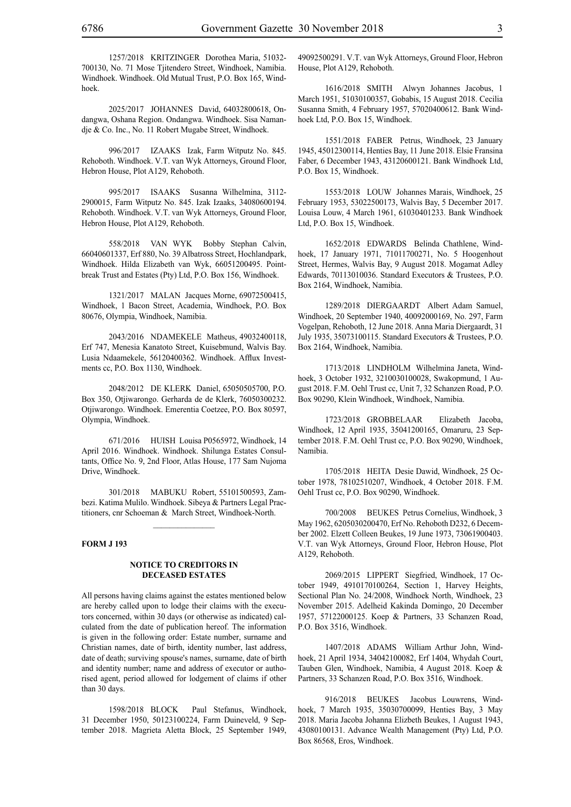1257/2018 KRITZINGER Dorothea Maria, 51032- 700130, No. 71 Mose Tjitendero Street, Windhoek, Namibia. Windhoek. Windhoek. Old Mutual Trust, P.O. Box 165, Windhoek.

2025/2017 JOHANNES David, 64032800618, Ondangwa, Oshana Region. Ondangwa. Windhoek. Sisa Namandje & Co. Inc., No. 11 Robert Mugabe Street, Windhoek.

996/2017 IZAAKS Izak, Farm Witputz No. 845. Rehoboth. Windhoek. V.T. van Wyk Attorneys, Ground Floor, Hebron House, Plot A129, Rehoboth.

995/2017 ISAAKS Susanna Wilhelmina, 3112- 2900015, Farm Witputz No. 845. Izak Izaaks, 34080600194. Rehoboth. Windhoek. V.T. van Wyk Attorneys, Ground Floor, Hebron House, Plot A129, Rehoboth.

558/2018 VAN WYK Bobby Stephan Calvin, 66040601337, Erf 880, No. 39 Albatross Street, Hochlandpark, Windhoek. Hilda Elizabeth van Wyk, 66051200495. Pointbreak Trust and Estates (Pty) Ltd, P.O. Box 156, Windhoek.

1321/2017 MALAN Jacques Morne, 69072500415, Windhoek, 1 Bacon Street, Academia, Windhoek, P.O. Box 80676, Olympia, Windhoek, Namibia.

2043/2016 NDAMEKELE Matheus, 49032400118, Erf 747, Menesia Kanatoto Street, Kuisebmund, Walvis Bay. Lusia Ndaamekele, 56120400362. Windhoek. Afflux Investments cc, P.O. Box 1130, Windhoek.

2048/2012 DE KLERK Daniel, 65050505700, P.O. Box 350, Otjiwarongo. Gerharda de de Klerk, 76050300232. Otjiwarongo. Windhoek. Emerentia Coetzee, P.O. Box 80597, Olympia, Windhoek.

671/2016 HUISH Louisa P0565972, Windhoek, 14 April 2016. Windhoek. Windhoek. Shilunga Estates Consultants, Office No. 9, 2nd Floor, Atlas House, 177 Sam Nujoma Drive, Windhoek.

301/2018 MABUKU Robert, 55101500593, Zambezi. Katima Mulilo. Windhoek. Sibeya & Partners Legal Practitioners, cnr Schoeman & March Street, Windhoek-North.

 $\frac{1}{2}$ 

#### **FORM J 193**

#### **NOTICE TO CREDITORS IN DECEASED ESTATES**

All persons having claims against the estates mentioned below are hereby called upon to lodge their claims with the executors concerned, within 30 days (or otherwise as indicated) calculated from the date of publication hereof. The information is given in the following order: Estate number, surname and Christian names, date of birth, identity number, last address, date of death; surviving spouse's names, surname, date of birth and identity number; name and address of executor or authorised agent, period allowed for lodgement of claims if other than 30 days.

1598/2018 BLOCK Paul Stefanus, Windhoek, 31 December 1950, 50123100224, Farm Duineveld, 9 September 2018. Magrieta Aletta Block, 25 September 1949, 49092500291. V.T. van Wyk Attorneys, Ground Floor, Hebron House, Plot A129, Rehoboth.

1616/2018 SMITH Alwyn Johannes Jacobus, 1 March 1951, 51030100357, Gobabis, 15 August 2018. Cecilia Susanna Smith, 4 February 1957, 57020400612. Bank Windhoek Ltd, P.O. Box 15, Windhoek.

1551/2018 FABER Petrus, Windhoek, 23 January 1945, 45012300114, Henties Bay, 11 June 2018. Elsie Fransina Faber, 6 December 1943, 43120600121. Bank Windhoek Ltd, P.O. Box 15, Windhoek.

1553/2018 LOUW Johannes Marais, Windhoek, 25 February 1953, 53022500173, Walvis Bay, 5 December 2017. Louisa Louw, 4 March 1961, 61030401233. Bank Windhoek Ltd, P.O. Box 15, Windhoek.

1652/2018 EDWARDS Belinda Chathlene, Windhoek, 17 January 1971, 71011700271, No. 5 Hoogenhout Street, Hermes, Walvis Bay, 9 August 2018. Mogamat Adley Edwards, 70113010036. Standard Executors & Trustees, P.O. Box 2164, Windhoek, Namibia.

1289/2018 DIERGAARDT Albert Adam Samuel, Windhoek, 20 September 1940, 40092000169, No. 297, Farm Vogelpan, Rehoboth, 12 June 2018. Anna Maria Diergaardt, 31 July 1935, 35073100115. Standard Executors & Trustees, P.O. Box 2164, Windhoek, Namibia.

1713/2018 LINDHOLM Wilhelmina Janeta, Windhoek, 3 October 1932, 3210030100028, Swakopmund, 1 August 2018. F.M. Oehl Trust cc, Unit 7, 32 Schanzen Road, P.O. Box 90290, Klein Windhoek, Windhoek, Namibia.

1723/2018 GROBBELAAR Elizabeth Jacoba, Windhoek, 12 April 1935, 35041200165, Omaruru, 23 September 2018. F.M. Oehl Trust cc, P.O. Box 90290, Windhoek, Namibia.

1705/2018 HEITA Desie Dawid, Windhoek, 25 October 1978, 78102510207, Windhoek, 4 October 2018. F.M. Oehl Trust cc, P.O. Box 90290, Windhoek.

700/2008 BEUKES Petrus Cornelius, Windhoek, 3 May 1962, 6205030200470, Erf No. Rehoboth D232, 6 December 2002. Elzett Colleen Beukes, 19 June 1973, 73061900403. V.T. van Wyk Attorneys, Ground Floor, Hebron House, Plot A129, Rehoboth.

2069/2015 LIPPERT Siegfried, Windhoek, 17 October 1949, 4910170100264, Section 1, Harvey Heights, Sectional Plan No. 24/2008, Windhoek North, Windhoek, 23 November 2015. Adelheid Kakinda Domingo, 20 December 1957, 57122000125. Koep & Partners, 33 Schanzen Road, P.O. Box 3516, Windhoek.

1407/2018 ADAMS William Arthur John, Windhoek, 21 April 1934, 34042100082, Erf 1404, Whydah Court, Tauben Glen, Windhoek, Namibia, 4 August 2018. Koep & Partners, 33 Schanzen Road, P.O. Box 3516, Windhoek.

916/2018 BEUKES Jacobus Louwrens, Windhoek, 7 March 1935, 35030700099, Henties Bay, 3 May 2018. Maria Jacoba Johanna Elizbeth Beukes, 1 August 1943, 43080100131. Advance Wealth Management (Pty) Ltd, P.O. Box 86568, Eros, Windhoek.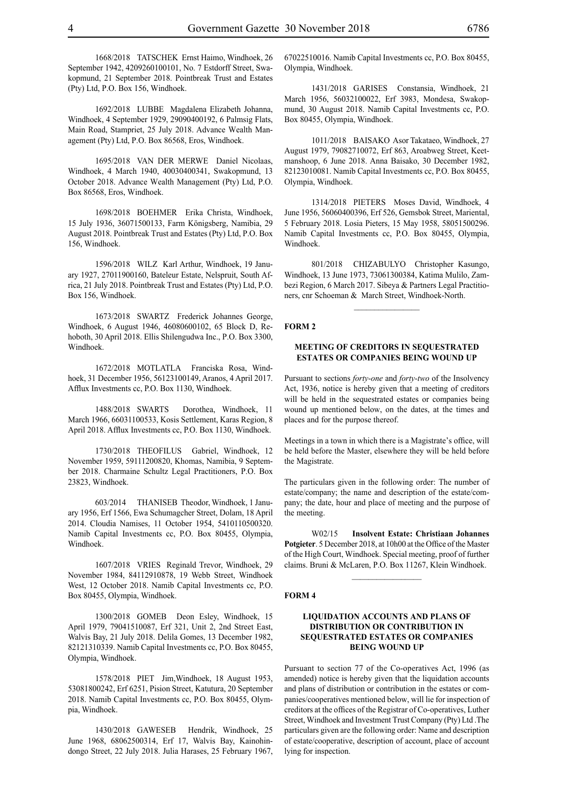1668/2018 TATSCHEK Ernst Haimo, Windhoek, 26 September 1942, 4209260100101, No. 7 Estdorff Street, Swakopmund, 21 September 2018. Pointbreak Trust and Estates (Pty) Ltd, P.O. Box 156, Windhoek.

1692/2018 LUBBE Magdalena Elizabeth Johanna, Windhoek, 4 September 1929, 29090400192, 6 Palmsig Flats, Main Road, Stampriet, 25 July 2018. Advance Wealth Management (Pty) Ltd, P.O. Box 86568, Eros, Windhoek.

1695/2018 VAN DER MERWE Daniel Nicolaas, Windhoek, 4 March 1940, 40030400341, Swakopmund, 13 October 2018. Advance Wealth Management (Pty) Ltd, P.O. Box 86568, Eros, Windhoek.

1698/2018 BOEHMER Erika Christa, Windhoek, 15 July 1936, 36071500133, Farm Königsberg, Namibia, 29 August 2018. Pointbreak Trust and Estates (Pty) Ltd, P.O. Box 156, Windhoek.

1596/2018 WILZ Karl Arthur, Windhoek, 19 January 1927, 27011900160, Bateleur Estate, Nelspruit, South Africa, 21 July 2018. Pointbreak Trust and Estates (Pty) Ltd, P.O. Box 156, Windhoek.

1673/2018 SWARTZ Frederick Johannes George, Windhoek, 6 August 1946, 46080600102, 65 Block D, Rehoboth, 30 April 2018. Ellis Shilengudwa Inc., P.O. Box 3300, Windhoek.

1672/2018 MOTLATLA Franciska Rosa, Windhoek, 31 December 1956, 56123100149, Aranos, 4 April 2017. Afflux Investments cc, P.O. Box 1130, Windhoek.

1488/2018 SWARTS Dorothea, Windhoek, 11 March 1966, 66031100533, Kosis Settlement, Karas Region, 8 April 2018. Afflux Investments cc, P.O. Box 1130, Windhoek.

1730/2018 THEOFILUS Gabriel, Windhoek, 12 November 1959, 59111200820, Khomas, Namibia, 9 September 2018. Charmaine Schultz Legal Practitioners, P.O. Box 23823, Windhoek.

603/2014 THANISEB Theodor, Windhoek, 1 January 1956, Erf 1566, Ewa Schumagcher Street, Dolam, 18 April 2014. Cloudia Namises, 11 October 1954, 5410110500320. Namib Capital Investments cc, P.O. Box 80455, Olympia, Windhoek.

1607/2018 VRIES Reginald Trevor, Windhoek, 29 November 1984, 84112910878, 19 Webb Street, Windhoek West, 12 October 2018. Namib Capital Investments cc, P.O. Box 80455, Olympia, Windhoek.

1300/2018 GOMEB Deon Esley, Windhoek, 15 April 1979, 79041510087, Erf 321, Unit 2, 2nd Street East, Walvis Bay, 21 July 2018. Delila Gomes, 13 December 1982, 82121310339. Namib Capital Investments cc, P.O. Box 80455, Olympia, Windhoek.

1578/2018 PIET Jim,Windhoek, 18 August 1953, 53081800242, Erf 6251, Pision Street, Katutura, 20 September 2018. Namib Capital Investments cc, P.O. Box 80455, Olympia, Windhoek.

1430/2018 GAWESEB Hendrik, Windhoek, 25 June 1968, 68062500314, Erf 17, Walvis Bay, Kainohindongo Street, 22 July 2018. Julia Harases, 25 February 1967, 67022510016. Namib Capital Investments cc, P.O. Box 80455, Olympia, Windhoek.

1431/2018 GARISES Constansia, Windhoek, 21 March 1956, 56032100022, Erf 3983, Mondesa, Swakopmund, 30 August 2018. Namib Capital Investments cc, P.O. Box 80455, Olympia, Windhoek.

1011/2018 BAISAKO Asor Takataeo, Windhoek, 27 August 1979, 79082710072, Erf 863, Aroabweg Street, Keetmanshoop, 6 June 2018. Anna Baisako, 30 December 1982, 82123010081. Namib Capital Investments cc, P.O. Box 80455, Olympia, Windhoek.

1314/2018 PIETERS Moses David, Windhoek, 4 June 1956, 56060400396, Erf 526, Gemsbok Street, Mariental, 5 February 2018. Losia Pieters, 15 May 1958, 58051500296. Namib Capital Investments cc, P.O. Box 80455, Olympia, Windhoek.

801/2018 CHIZABULYO Christopher Kasungo, Windhoek, 13 June 1973, 73061300384, Katima Mulilo, Zambezi Region, 6 March 2017. Sibeya & Partners Legal Practitioners, cnr Schoeman & March Street, Windhoek-North.

#### **FORM 2**

#### **MEETING OF CREDITORS IN SEQUESTRATED ESTATES OR COMPANIES BEING WOUND UP**

Pursuant to sections *forty-one* and *forty-two* of the Insolvency Act, 1936, notice is hereby given that a meeting of creditors will be held in the sequestrated estates or companies being wound up mentioned below, on the dates, at the times and places and for the purpose thereof.

Meetings in a town in which there is a Magistrate's office, will be held before the Master, elsewhere they will be held before the Magistrate.

The particulars given in the following order: The number of estate/company; the name and description of the estate/company; the date, hour and place of meeting and the purpose of the meeting.

W02/15 **Insolvent Estate: Christiaan Johannes Potgieter**. 5 December 2018, at 10h00 at the Office of the Master of the High Court, Windhoek. Special meeting, proof of further claims. Bruni & McLaren, P.O. Box 11267, Klein Windhoek.

 $\mathcal{L}_\text{max}$ 

#### **FORM 4**

#### **LIQUIDATION ACCOUNTS AND PLANS OF DISTRIBUTION OR CONTRIBUTION IN SEQUESTRATED ESTATES OR COMPANIES BEING WOUND UP**

Pursuant to section 77 of the Co-operatives Act, 1996 (as amended) notice is hereby given that the liquidation accounts and plans of distribution or contribution in the estates or companies/cooperatives mentioned below, will lie for inspection of creditors at the offices of the Registrar of Co-operatives, Luther Street, Windhoek and Investment Trust Company (Pty) Ltd .The particulars given are the following order: Name and description of estate/cooperative, description of account, place of account lying for inspection.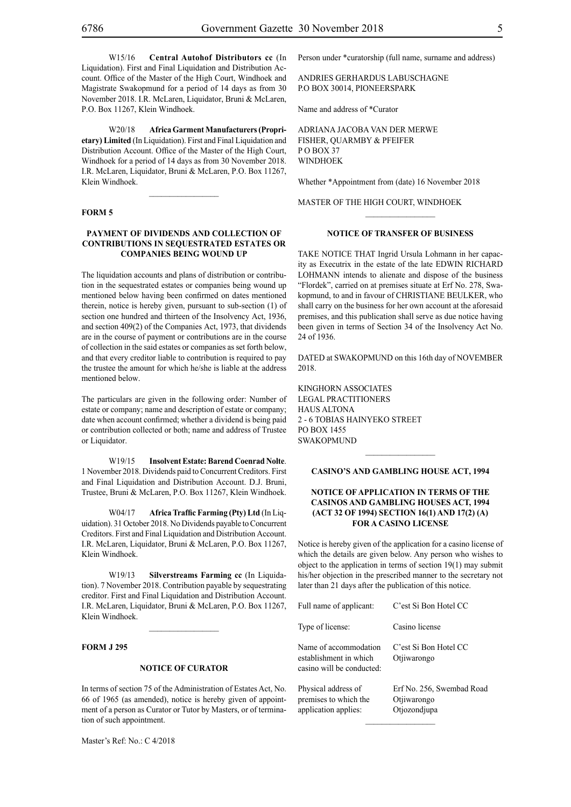W15/16 **Central Autohof Distributors cc** (In Liquidation). First and Final Liquidation and Distribution Account. Office of the Master of the High Court, Windhoek and Magistrate Swakopmund for a period of 14 days as from 30 November 2018. I.R. McLaren, Liquidator, Bruni & McLaren, P.O. Box 11267, Klein Windhoek.

W20/18 **Africa Garment Manufacturers (Proprietary) Limited** (In Liquidation). First and Final Liquidation and Distribution Account. Office of the Master of the High Court, Windhoek for a period of 14 days as from 30 November 2018. I.R. McLaren, Liquidator, Bruni & McLaren, P.O. Box 11267, Klein Windhoek.

 $\overline{\phantom{a}}$  ,  $\overline{\phantom{a}}$  ,  $\overline{\phantom{a}}$  ,  $\overline{\phantom{a}}$  ,  $\overline{\phantom{a}}$  ,  $\overline{\phantom{a}}$  ,  $\overline{\phantom{a}}$  ,  $\overline{\phantom{a}}$  ,  $\overline{\phantom{a}}$  ,  $\overline{\phantom{a}}$  ,  $\overline{\phantom{a}}$  ,  $\overline{\phantom{a}}$  ,  $\overline{\phantom{a}}$  ,  $\overline{\phantom{a}}$  ,  $\overline{\phantom{a}}$  ,  $\overline{\phantom{a}}$ 

#### **FORM 5**

#### **PAYMENT OF DIVIDENDS AND COLLECTION OF CONTRIBUTIONS IN SEQUESTRATED ESTATES OR COMPANIES BEING WOUND UP**

The liquidation accounts and plans of distribution or contribution in the sequestrated estates or companies being wound up mentioned below having been confirmed on dates mentioned therein, notice is hereby given, pursuant to sub-section (1) of section one hundred and thirteen of the Insolvency Act, 1936, and section 409(2) of the Companies Act, 1973, that dividends are in the course of payment or contributions are in the course of collection in the said estates or companies as set forth below, and that every creditor liable to contribution is required to pay the trustee the amount for which he/she is liable at the address mentioned below.

The particulars are given in the following order: Number of estate or company; name and description of estate or company; date when account confirmed; whether a dividend is being paid or contribution collected or both; name and address of Trustee or Liquidator.

W19/15 **Insolvent Estate: Barend Coenrad Nolte**. 1 November 2018. Dividends paid to Concurrent Creditors. First and Final Liquidation and Distribution Account. D.J. Bruni, Trustee, Bruni & McLaren, P.O. Box 11267, Klein Windhoek.

W04/17 **Africa Traffic Farming (Pty) Ltd** (In Liquidation). 31 October 2018. No Dividends payable to Concurrent Creditors. First and Final Liquidation and Distribution Account. I.R. McLaren, Liquidator, Bruni & McLaren, P.O. Box 11267, Klein Windhoek.

W19/13 **Silverstreams Farming cc** (In Liquidation). 7 November 2018. Contribution payable by sequestrating creditor. First and Final Liquidation and Distribution Account. I.R. McLaren, Liquidator, Bruni & McLaren, P.O. Box 11267, Klein Windhoek.

 $\mathcal{L}_\text{max}$ 

#### **FORM J 295**

#### **NOTICE OF CURATOR**

In terms of section 75 of the Administration of Estates Act, No. 66 of 1965 (as amended), notice is hereby given of appointment of a person as Curator or Tutor by Masters, or of termination of such appointment.

Master's Ref: No.: C 4/2018

Person under \*curatorship (full name, surname and address)

ANDRIES GERHARDUS LABUSCHAGNE P.O BOX 30014, PIONEERSPARK

Name and address of \*Curator

ADRIANA JACOBA VAN DER MERWE FISHER, QUARMBY & PFEIFER P O BOX 37 WINDHOEK

Whether \*Appointment from (date) 16 November 2018

MASTER OF THE HIGH COURT, WINDHOEK

#### **NOTICE OF TRANSFER OF BUSINESS**

 $\frac{1}{2}$ 

TAKE NOTICE THAT Ingrid Ursula Lohmann in her capacity as Executrix in the estate of the late EDWIN RICHARD LOHMANN intends to alienate and dispose of the business "Flordek", carried on at premises situate at Erf No. 278, Swakopmund, to and in favour of CHRISTIANE BEULKER, who shall carry on the business for her own account at the aforesaid premises, and this publication shall serve as due notice having been given in terms of Section 34 of the Insolvency Act No. 24 of 1936.

DATED at SWAKOPMUND on this 16th day of NOVEMBER 2018.

KINGHORN ASSOCIATES LEGAL PRACTITIONERS HAUS ALTONA 2 - 6 TOBIAS HAINYEKO STREET PO BOX 1455 SWAKOPMUND

#### **CASINO'S AND GAMBLING HOUSE ACT, 1994**

 $\frac{1}{2}$ 

#### **NOTICE OF APPLICATION IN TERMS OF THE CASINOS AND GAMBLING HOUSES ACT, 1994 (ACT 32 OF 1994) SECTION 16(1) AND 17(2) (A) FOR A CASINO LICENSE**

Notice is hereby given of the application for a casino license of which the details are given below. Any person who wishes to object to the application in terms of section 19(1) may submit his/her objection in the prescribed manner to the secretary not later than 21 days after the publication of this notice.

| Full name of applicant:                                                      | C'est Si Bon Hotel CC                                    |
|------------------------------------------------------------------------------|----------------------------------------------------------|
| Type of license:                                                             | Casino license                                           |
| Name of accommodation<br>establishment in which<br>casino will be conducted: | C'est Si Bon Hotel CC<br>Otiiwarongo                     |
| Physical address of<br>premises to which the<br>application applies:         | Erf No. 256, Swembad Road<br>Otiiwarongo<br>Otjozondjupa |